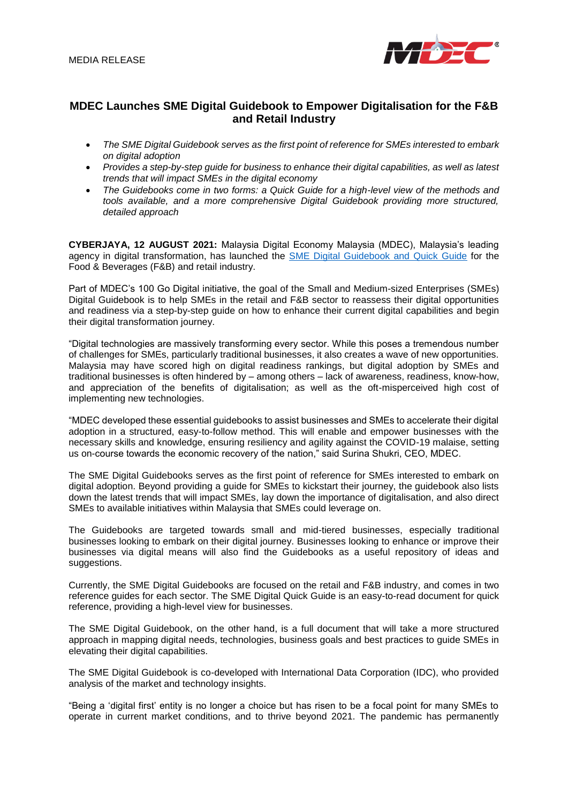

# **MDEC Launches SME Digital Guidebook to Empower Digitalisation for the F&B and Retail Industry**

- The SME Digital Guidebook serves as the first point of reference for SMEs interested to embark *on digital adoption*
- *Provides a step-by-step guide for business to enhance their digital capabilities, as well as latest trends that will impact SMEs in the digital economy*
- *The Guidebooks come in two forms: a Quick Guide for a high-level view of the methods and tools available, and a more comprehensive Digital Guidebook providing more structured, detailed approach*

**CYBERJAYA, 12 AUGUST 2021:** Malaysia Digital Economy Malaysia (MDEC), Malaysia's leading agency in digital transformation, has launched the **SME Digital Guidebook and Quick Guide for the** Food & Beverages (F&B) and retail industry.

Part of MDEC's 100 Go Digital initiative, the goal of the Small and Medium-sized Enterprises (SMEs) Digital Guidebook is to help SMEs in the retail and F&B sector to reassess their digital opportunities and readiness via a step-by-step guide on how to enhance their current digital capabilities and begin their digital transformation journey.

"Digital technologies are massively transforming every sector. While this poses a tremendous number of challenges for SMEs, particularly traditional businesses, it also creates a wave of new opportunities. Malaysia may have scored high on digital readiness rankings, but digital adoption by SMEs and traditional businesses is often hindered by – among others – lack of awareness, readiness, know-how, and appreciation of the benefits of digitalisation; as well as the oft-misperceived high cost of implementing new technologies.

"MDEC developed these essential guidebooks to assist businesses and SMEs to accelerate their digital adoption in a structured, easy-to-follow method. This will enable and empower businesses with the necessary skills and knowledge, ensuring resiliency and agility against the COVID-19 malaise, setting us on-course towards the economic recovery of the nation," said Surina Shukri, CEO, MDEC.

The SME Digital Guidebooks serves as the first point of reference for SMEs interested to embark on digital adoption. Beyond providing a guide for SMEs to kickstart their journey, the guidebook also lists down the latest trends that will impact SMEs, lay down the importance of digitalisation, and also direct SMEs to available initiatives within Malaysia that SMEs could leverage on.

The Guidebooks are targeted towards small and mid-tiered businesses, especially traditional businesses looking to embark on their digital journey. Businesses looking to enhance or improve their businesses via digital means will also find the Guidebooks as a useful repository of ideas and suggestions.

Currently, the SME Digital Guidebooks are focused on the retail and F&B industry, and comes in two reference guides for each sector. The SME Digital Quick Guide is an easy-to-read document for quick reference, providing a high-level view for businesses.

The SME Digital Guidebook, on the other hand, is a full document that will take a more structured approach in mapping digital needs, technologies, business goals and best practices to guide SMEs in elevating their digital capabilities.

The SME Digital Guidebook is co-developed with International Data Corporation (IDC), who provided analysis of the market and technology insights.

"Being a 'digital first' entity is no longer a choice but has risen to be a focal point for many SMEs to operate in current market conditions, and to thrive beyond 2021. The pandemic has permanently